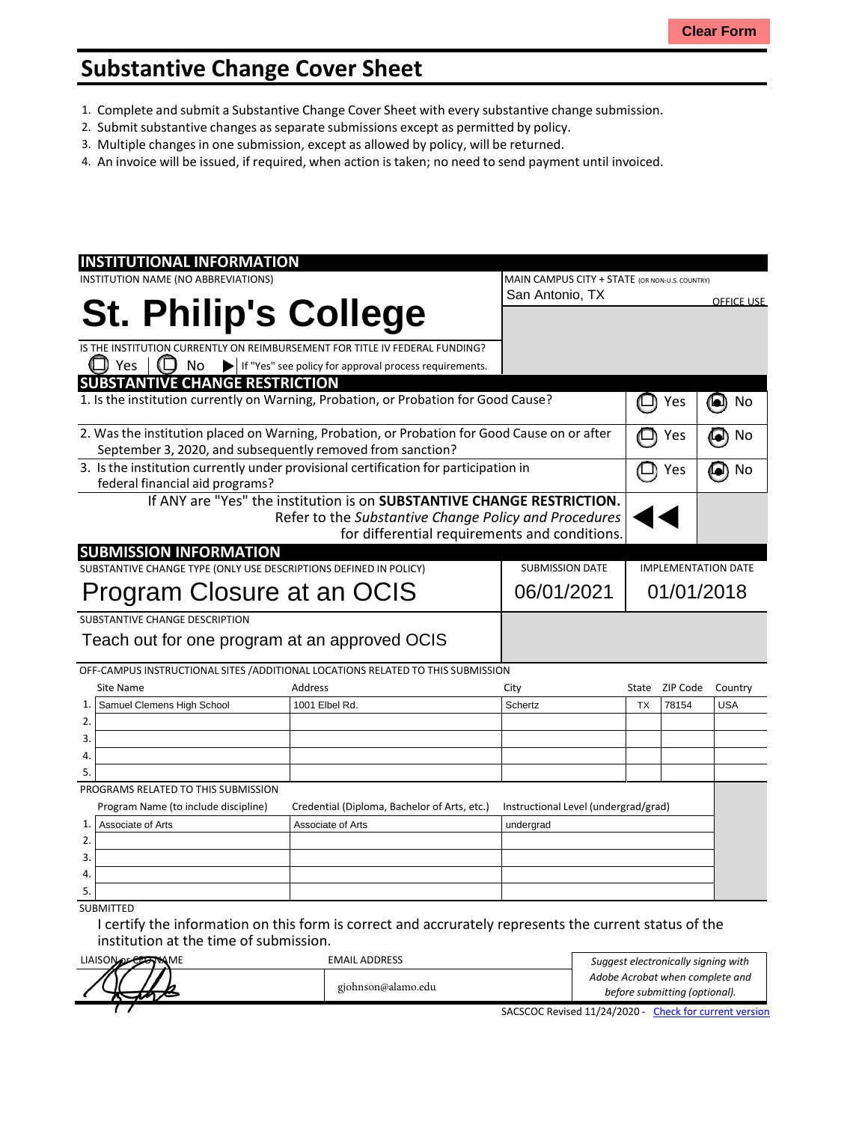## **Substantive Change Cover Sheet**

- 1. Complete and submit a Substantive Change Cover Sheet with every substantive change submission.
- 2. Submit substantive changes asseparate submissions except as permitted by policy.
- 3. Multiple changes in one submission, except as allowed by policy, will be returned.
- 4. An invoice will be issued, if required, when action is taken; no need to send payment until invoiced.

| <b>INSTITUTIONAL INFORMATION</b>                                                                                                                           |                                                                        |                                                |           |                            |                   |
|------------------------------------------------------------------------------------------------------------------------------------------------------------|------------------------------------------------------------------------|------------------------------------------------|-----------|----------------------------|-------------------|
| INSTITUTION NAME (NO ABBREVIATIONS)                                                                                                                        |                                                                        | MAIN CAMPUS CITY + STATE (OR NON-U.S. COUNTRY) |           |                            |                   |
|                                                                                                                                                            |                                                                        | San Antonio, TX                                |           |                            | <b>OFFICE USE</b> |
| <b>St. Philip's College</b>                                                                                                                                |                                                                        |                                                |           |                            |                   |
|                                                                                                                                                            |                                                                        |                                                |           |                            |                   |
| IS THE INSTITUTION CURRENTLY ON REIMBURSEMENT FOR TITLE IV FEDERAL FUNDING?                                                                                |                                                                        |                                                |           |                            |                   |
| Yes<br>No                                                                                                                                                  | If "Yes" see policy for approval process requirements.                 |                                                |           |                            |                   |
| <b>SUBSTANTIVE CHANGE RESTRICTION</b>                                                                                                                      |                                                                        |                                                |           |                            |                   |
| 1. Is the institution currently on Warning, Probation, or Probation for Good Cause?                                                                        |                                                                        |                                                |           | Yes                        | 0<br>No           |
| 2. Was the institution placed on Warning, Probation, or Probation for Good Cause on or after<br>September 3, 2020, and subsequently removed from sanction? |                                                                        |                                                |           | Yes                        | No<br>o)          |
| 3. Is the institution currently under provisional certification for participation in                                                                       |                                                                        |                                                |           |                            |                   |
| federal financial aid programs?                                                                                                                            |                                                                        |                                                | Yes       | No<br>$\bullet$            |                   |
|                                                                                                                                                            | If ANY are "Yes" the institution is on SUBSTANTIVE CHANGE RESTRICTION. |                                                |           |                            |                   |
|                                                                                                                                                            | Refer to the Substantive Change Policy and Procedures                  |                                                |           |                            |                   |
|                                                                                                                                                            | for differential requirements and conditions.                          |                                                |           |                            |                   |
| <b>SUBMISSION INFORMATION</b>                                                                                                                              |                                                                        |                                                |           |                            |                   |
| SUBSTANTIVE CHANGE TYPE (ONLY USE DESCRIPTIONS DEFINED IN POLICY)<br><b>SUBMISSION DATE</b>                                                                |                                                                        |                                                |           | <b>IMPLEMENTATION DATE</b> |                   |
|                                                                                                                                                            |                                                                        |                                                |           |                            |                   |
| Program Closure at an OCIS                                                                                                                                 |                                                                        | 06/01/2021                                     |           | 01/01/2018                 |                   |
| SUBSTANTIVE CHANGE DESCRIPTION                                                                                                                             |                                                                        |                                                |           |                            |                   |
| Teach out for one program at an approved OCIS                                                                                                              |                                                                        |                                                |           |                            |                   |
| OFF-CAMPUS INSTRUCTIONAL SITES / ADDITIONAL LOCATIONS RELATED TO THIS SUBMISSION                                                                           |                                                                        |                                                |           |                            |                   |
| Site Name                                                                                                                                                  | Address                                                                | City                                           | State     | ZIP Code                   | Country           |
| 1.<br>Samuel Clemens High School                                                                                                                           | 1001 Elbel Rd.                                                         | Schertz                                        | <b>TX</b> | 78154                      | <b>USA</b>        |
| 2.                                                                                                                                                         |                                                                        |                                                |           |                            |                   |
| 3.                                                                                                                                                         |                                                                        |                                                |           |                            |                   |
| 4.                                                                                                                                                         |                                                                        |                                                |           |                            |                   |
| 5.                                                                                                                                                         |                                                                        |                                                |           |                            |                   |
| PROGRAMS RELATED TO THIS SUBMISSION                                                                                                                        |                                                                        |                                                |           |                            |                   |
| Program Name (to include discipline)                                                                                                                       | Credential (Diploma, Bachelor of Arts, etc.)                           | Instructional Level (undergrad/grad)           |           |                            |                   |
| Associate of Arts<br>1.                                                                                                                                    | Associate of Arts                                                      | undergrad                                      |           |                            |                   |
| 2.                                                                                                                                                         |                                                                        |                                                |           |                            |                   |
| 3.                                                                                                                                                         |                                                                        |                                                |           |                            |                   |
| $\overline{4}$                                                                                                                                             |                                                                        |                                                |           |                            |                   |
| 5.                                                                                                                                                         |                                                                        |                                                |           |                            |                   |
| <b>SUBMITTED</b>                                                                                                                                           |                                                                        |                                                |           |                            |                   |

I certify the information on this form is correct and accrurately represents the current status of the institution at the time of submission.

| LIAISON OF CLAIM ME | EMAIL ADDRESS      | Suggest electronically signing with<br>Adobe Acrobat when complete and<br>before submitting (optional). |  |  |
|---------------------|--------------------|---------------------------------------------------------------------------------------------------------|--|--|
|                     |                    |                                                                                                         |  |  |
|                     | gjohnson@alamo.edu |                                                                                                         |  |  |
|                     |                    | SACSCOC Revised 11/24/2020 - Check for current versior                                                  |  |  |

SACSCOC Revised 11/24/2020 - Check for current version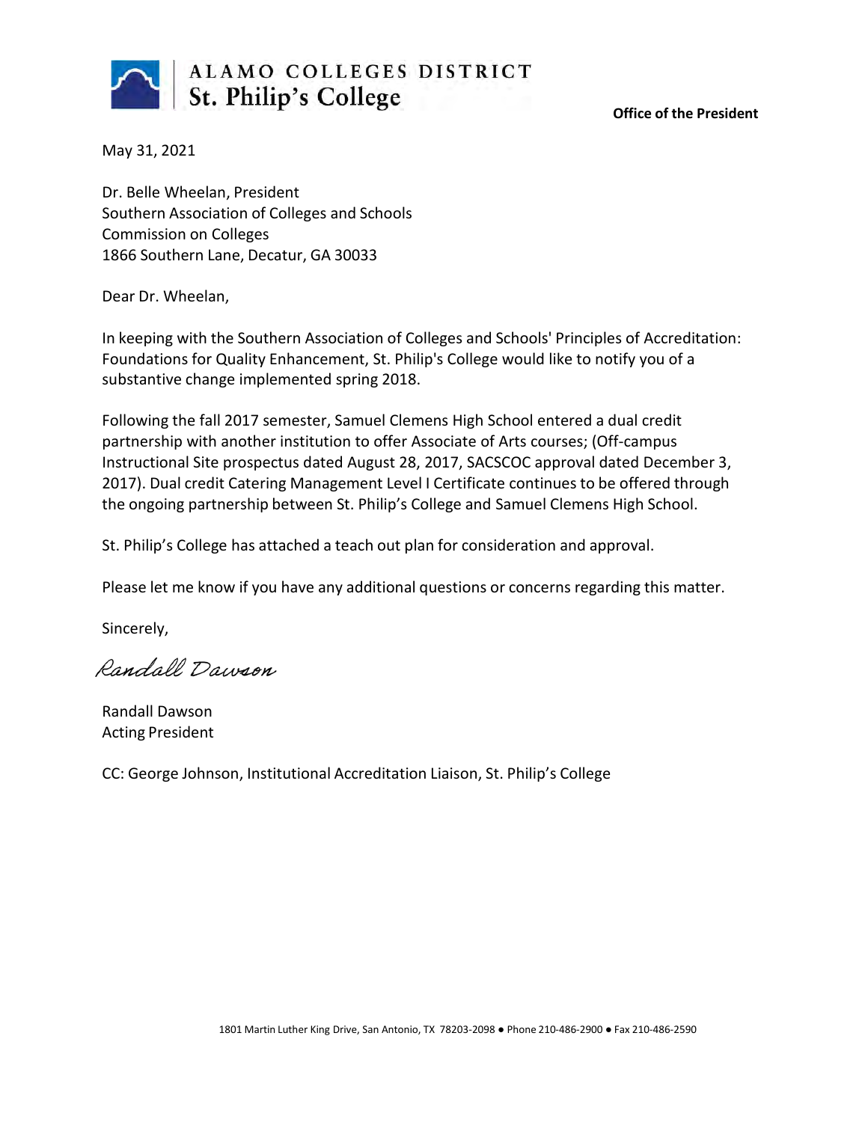

**Office of the President**

May 31, 2021

Dr. Belle Wheelan, President Southern Association of Colleges and Schools Commission on Colleges 1866 Southern Lane, Decatur, GA 30033

Dear Dr. Wheelan,

In keeping with the Southern Association of Colleges and Schools' Principles of Accreditation: Foundations for Quality Enhancement, St. Philip's College would like to notify you of a substantive change implemented spring 2018.

Following the fall 2017 semester, Samuel Clemens High School entered a dual credit partnership with another institution to offer Associate of Arts courses; (Off-campus Instructional Site prospectus dated August 28, 2017, SACSCOC approval dated December 3, 2017). Dual credit Catering Management Level I Certificate continues to be offered through the ongoing partnership between St. Philip's College and Samuel Clemens High School.

St. Philip's College has attached a teach out plan for consideration and approval.

Please let me know if you have any additional questions or concerns regarding this matter.

Sincerely,

Randall Dawson

Randall Dawson Acting President

CC: George Johnson, Institutional Accreditation Liaison, St. Philip's College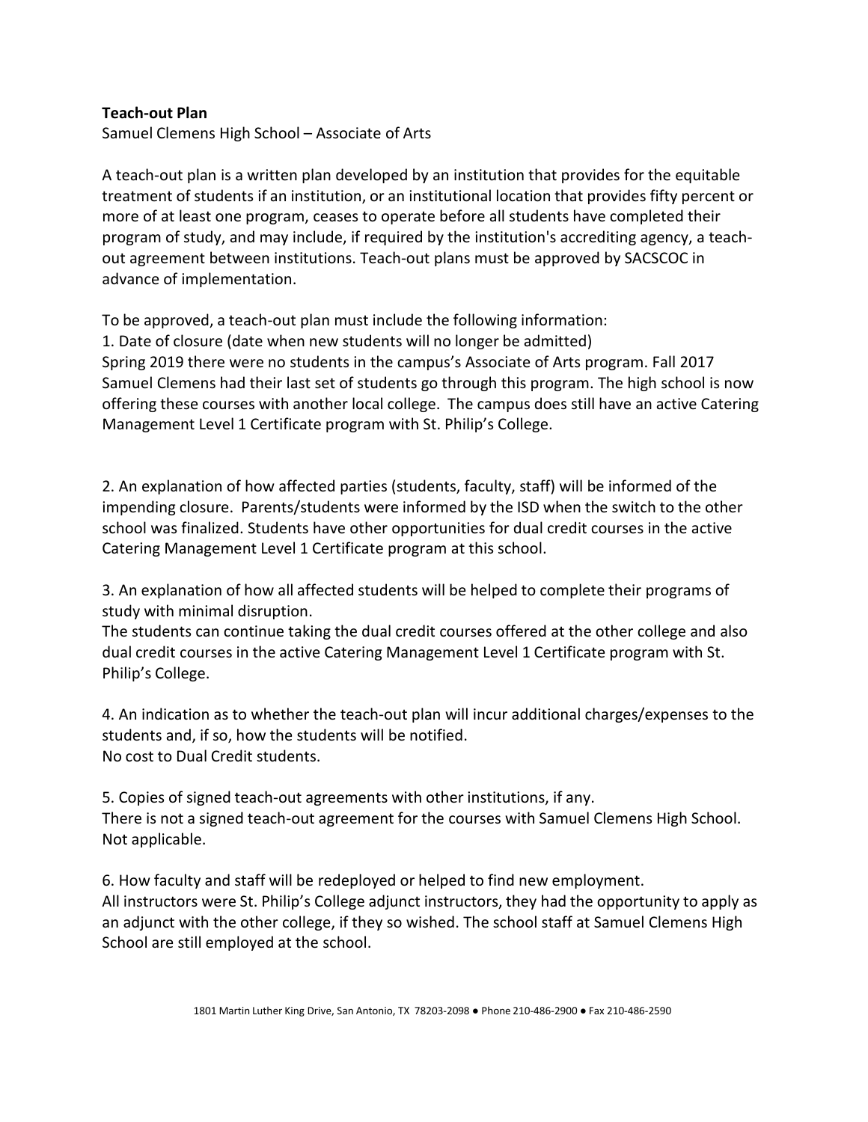## **Teach-out Plan**

Samuel Clemens High School – Associate of Arts

A teach-out plan is a written plan developed by an institution that provides for the equitable treatment of students if an institution, or an institutional location that provides fifty percent or more of at least one program, ceases to operate before all students have completed their program of study, and may include, if required by the institution's accrediting agency, a teachout agreement between institutions. Teach-out plans must be approved by SACSCOC in advance of implementation.

To be approved, a teach-out plan must include the following information: 1. Date of closure (date when new students will no longer be admitted) Spring 2019 there were no students in the campus's Associate of Arts program. Fall 2017 Samuel Clemens had their last set of students go through this program. The high school is now offering these courses with another local college. The campus does still have an active Catering Management Level 1 Certificate program with St. Philip's College.

2. An explanation of how affected parties (students, faculty, staff) will be informed of the impending closure. Parents/students were informed by the ISD when the switch to the other school was finalized. Students have other opportunities for dual credit courses in the active Catering Management Level 1 Certificate program at this school.

3. An explanation of how all affected students will be helped to complete their programs of study with minimal disruption.

The students can continue taking the dual credit courses offered at the other college and also dual credit courses in the active Catering Management Level 1 Certificate program with St. Philip's College.

4. An indication as to whether the teach-out plan will incur additional charges/expenses to the students and, if so, how the students will be notified. No cost to Dual Credit students.

5. Copies of signed teach-out agreements with other institutions, if any. There is not a signed teach-out agreement for the courses with Samuel Clemens High School. Not applicable.

6. How faculty and staff will be redeployed or helped to find new employment. All instructors were St. Philip's College adjunct instructors, they had the opportunity to apply as an adjunct with the other college, if they so wished. The school staff at Samuel Clemens High School are still employed at the school.